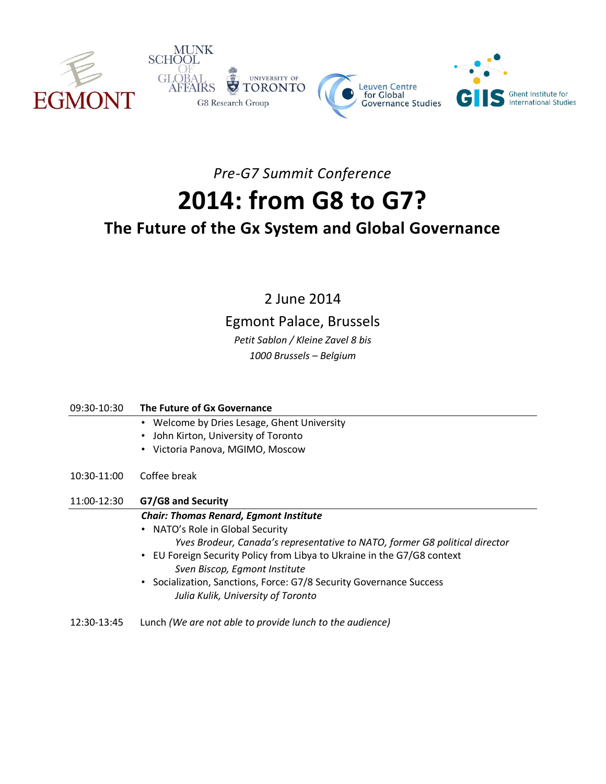

*Pre-G7 Summit Conference*

# **2014: from G8 to G7?**

## **The Future of the Gx System and Global Governance**

2 June 2014

### Egmont Palace, Brussels

*Petit Sablon / Kleine Zavel 8 bis 1000 Brussels – Belgium*

| 09:30-10:30 | The Future of Gx Governance                                                        |
|-------------|------------------------------------------------------------------------------------|
|             | • Welcome by Dries Lesage, Ghent University                                        |
|             | John Kirton, University of Toronto<br>$\bullet$                                    |
|             | Victoria Panova, MGIMO, Moscow<br>$\bullet$                                        |
| 10:30-11:00 | Coffee break                                                                       |
| 11:00-12:30 | G7/G8 and Security                                                                 |
|             | <b>Chair: Thomas Renard, Egmont Institute</b>                                      |
|             | • NATO's Role in Global Security                                                   |
|             | Yves Brodeur, Canada's representative to NATO, former G8 political director        |
|             | EU Foreign Security Policy from Libya to Ukraine in the G7/G8 context<br>$\bullet$ |
|             | Sven Biscop, Egmont Institute                                                      |
|             | • Socialization, Sanctions, Force: G7/8 Security Governance Success                |
|             | Julia Kulik, University of Toronto                                                 |
| 12:30-13:45 | Lunch (We are not able to provide lunch to the audience)                           |